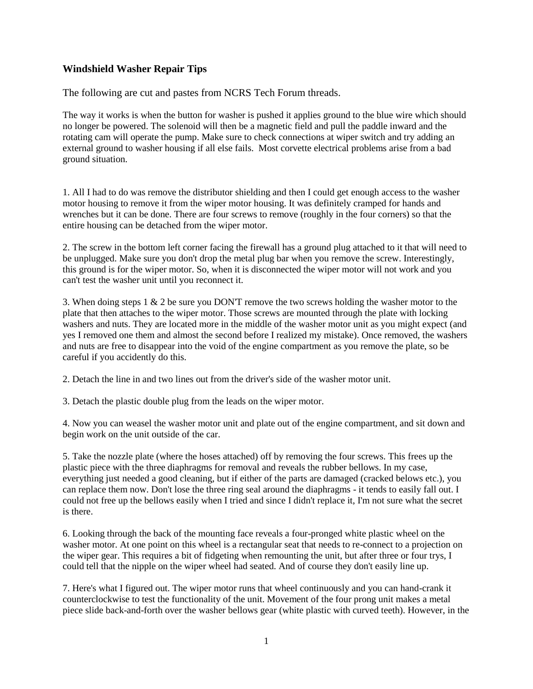## **Windshield Washer Repair Tips**

The following are cut and pastes from NCRS Tech Forum threads.

The way it works is when the button for washer is pushed it applies ground to the blue wire which should no longer be powered. The solenoid will then be a magnetic field and pull the paddle inward and the rotating cam will operate the pump. Make sure to check connections at wiper switch and try adding an external ground to washer housing if all else fails. Most corvette electrical problems arise from a bad ground situation.

1. All I had to do was remove the distributor shielding and then I could get enough access to the washer motor housing to remove it from the wiper motor housing. It was definitely cramped for hands and wrenches but it can be done. There are four screws to remove (roughly in the four corners) so that the entire housing can be detached from the wiper motor.

2. The screw in the bottom left corner facing the firewall has a ground plug attached to it that will need to be unplugged. Make sure you don't drop the metal plug bar when you remove the screw. Interestingly, this ground is for the wiper motor. So, when it is disconnected the wiper motor will not work and you can't test the washer unit until you reconnect it.

3. When doing steps 1 & 2 be sure you DON'T remove the two screws holding the washer motor to the plate that then attaches to the wiper motor. Those screws are mounted through the plate with locking washers and nuts. They are located more in the middle of the washer motor unit as you might expect (and yes I removed one them and almost the second before I realized my mistake). Once removed, the washers and nuts are free to disappear into the void of the engine compartment as you remove the plate, so be careful if you accidently do this.

2. Detach the line in and two lines out from the driver's side of the washer motor unit.

3. Detach the plastic double plug from the leads on the wiper motor.

4. Now you can weasel the washer motor unit and plate out of the engine compartment, and sit down and begin work on the unit outside of the car.

5. Take the nozzle plate (where the hoses attached) off by removing the four screws. This frees up the plastic piece with the three diaphragms for removal and reveals the rubber bellows. In my case, everything just needed a good cleaning, but if either of the parts are damaged (cracked belows etc.), you can replace them now. Don't lose the three ring seal around the diaphragms - it tends to easily fall out. I could not free up the bellows easily when I tried and since I didn't replace it, I'm not sure what the secret is there.

6. Looking through the back of the mounting face reveals a four-pronged white plastic wheel on the washer motor. At one point on this wheel is a rectangular seat that needs to re-connect to a projection on the wiper gear. This requires a bit of fidgeting when remounting the unit, but after three or four trys, I could tell that the nipple on the wiper wheel had seated. And of course they don't easily line up.

7. Here's what I figured out. The wiper motor runs that wheel continuously and you can hand-crank it counterclockwise to test the functionality of the unit. Movement of the four prong unit makes a metal piece slide back-and-forth over the washer bellows gear (white plastic with curved teeth). However, in the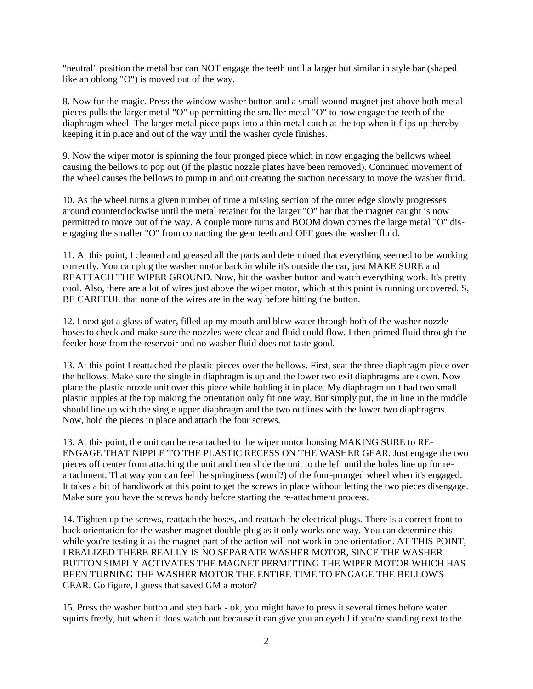"neutral" position the metal bar can NOT engage the teeth until a larger but similar in style bar (shaped like an oblong "O") is moved out of the way.

8. Now for the magic. Press the window washer button and a small wound magnet just above both metal pieces pulls the larger metal "O" up permitting the smaller metal "O" to now engage the teeth of the diaphragm wheel. The larger metal piece pops into a thin metal catch at the top when it flips up thereby keeping it in place and out of the way until the washer cycle finishes.

9. Now the wiper motor is spinning the four pronged piece which in now engaging the bellows wheel causing the bellows to pop out (if the plastic nozzle plates have been removed). Continued movement of the wheel causes the bellows to pump in and out creating the suction necessary to move the washer fluid.

10. As the wheel turns a given number of time a missing section of the outer edge slowly progresses around counterclockwise until the metal retainer for the larger "O" bar that the magnet caught is now permitted to move out of the way. A couple more turns and BOOM down comes the large metal "O" disengaging the smaller "O" from contacting the gear teeth and OFF goes the washer fluid.

11. At this point, I cleaned and greased all the parts and determined that everything seemed to be working correctly. You can plug the washer motor back in while it's outside the car, just MAKE SURE and REATTACH THE WIPER GROUND. Now, hit the washer button and watch everything work. It's pretty cool. Also, there are a lot of wires just above the wiper motor, which at this point is running uncovered. S, BE CAREFUL that none of the wires are in the way before hitting the button.

12. I next got a glass of water, filled up my mouth and blew water through both of the washer nozzle hoses to check and make sure the nozzles were clear and fluid could flow. I then primed fluid through the feeder hose from the reservoir and no washer fluid does not taste good.

13. At this point I reattached the plastic pieces over the bellows. First, seat the three diaphragm piece over the bellows. Make sure the single in diaphragm is up and the lower two exit diaphragms are down. Now place the plastic nozzle unit over this piece while holding it in place. My diaphragm unit had two small plastic nipples at the top making the orientation only fit one way. But simply put, the in line in the middle should line up with the single upper diaphragm and the two outlines with the lower two diaphragms. Now, hold the pieces in place and attach the four screws.

13. At this point, the unit can be re-attached to the wiper motor housing MAKING SURE to RE-ENGAGE THAT NIPPLE TO THE PLASTIC RECESS ON THE WASHER GEAR. Just engage the two pieces off center from attaching the unit and then slide the unit to the left until the holes line up for reattachment. That way you can feel the springiness (word?) of the four-pronged wheel when it's engaged. It takes a bit of handiwork at this point to get the screws in place without letting the two pieces disengage. Make sure you have the screws handy before starting the re-attachment process.

14. Tighten up the screws, reattach the hoses, and reattach the electrical plugs. There is a correct front to back orientation for the washer magnet double-plug as it only works one way. You can determine this while you're testing it as the magnet part of the action will not work in one orientation. AT THIS POINT, I REALIZED THERE REALLY IS NO SEPARATE WASHER MOTOR, SINCE THE WASHER BUTTON SIMPLY ACTIVATES THE MAGNET PERMITTING THE WIPER MOTOR WHICH HAS BEEN TURNING THE WASHER MOTOR THE ENTIRE TIME TO ENGAGE THE BELLOW'S GEAR. Go figure, I guess that saved GM a motor?

15. Press the washer button and step back - ok, you might have to press it several times before water squirts freely, but when it does watch out because it can give you an eyeful if you're standing next to the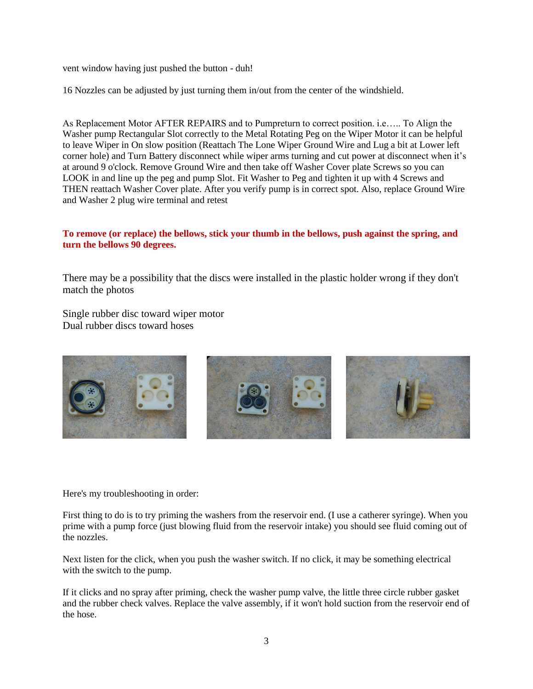vent window having just pushed the button - duh!

16 Nozzles can be adjusted by just turning them in/out from the center of the windshield.

As Replacement Motor AFTER REPAIRS and to Pumpreturn to correct position. i.e….. To Align the Washer pump Rectangular Slot correctly to the Metal Rotating Peg on the Wiper Motor it can be helpful to leave Wiper in On slow position (Reattach The Lone Wiper Ground Wire and Lug a bit at Lower left corner hole) and Turn Battery disconnect while wiper arms turning and cut power at disconnect when it's at around 9 o'clock. Remove Ground Wire and then take off Washer Cover plate Screws so you can LOOK in and line up the peg and pump Slot. Fit Washer to Peg and tighten it up with 4 Screws and THEN reattach Washer Cover plate. After you verify pump is in correct spot. Also, replace Ground Wire and Washer 2 plug wire terminal and retest

## **To remove (or replace) the bellows, stick your thumb in the bellows, push against the spring, and turn the bellows 90 degrees.**

There may be a possibility that the discs were installed in the plastic holder wrong if they don't match the photos

Single rubber disc toward wiper motor Dual rubber discs toward hoses



Here's my troubleshooting in order:

First thing to do is to try priming the washers from the reservoir end. (I use a catherer syringe). When you prime with a pump force (just blowing fluid from the reservoir intake) you should see fluid coming out of the nozzles.

Next listen for the click, when you push the washer switch. If no click, it may be something electrical with the switch to the pump.

If it clicks and no spray after priming, check the washer pump valve, the little three circle rubber gasket and the rubber check valves. Replace the valve assembly, if it won't hold suction from the reservoir end of the hose.